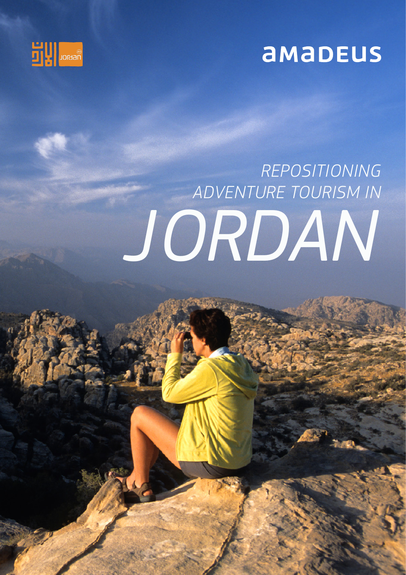

## amaDEUS

# *JORDAN REPOSITIONING ADVENTURE TOURISM IN*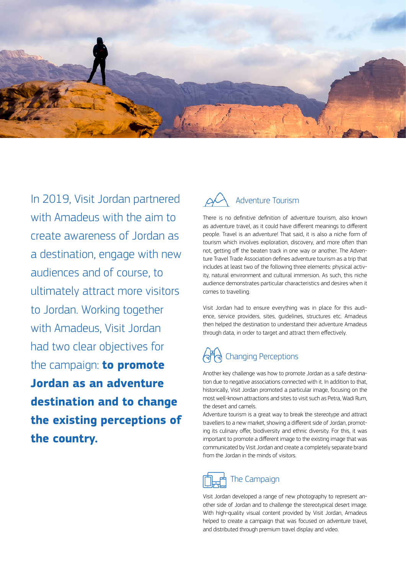

In 2019, Visit Jordan partnered with Amadeus with the aim to create awareness of Jordan as a destination, engage with new audiences and of course, to ultimately attract more visitors to Jordan. Working together with Amadeus, Visit Jordan had two clear objectives for the campaign: **to promote Jordan as an adventure destination and to change the existing perceptions of the country.**



There is no definitive definition of adventure tourism, also known as adventure travel, as it could have different meanings to different people. Travel is an adventure! That said, it is also a niche form of tourism which involves exploration, discovery, and more often than not, getting off the beaten track in one way or another. The Adventure Travel Trade Association defines adventure tourism as a trip that includes at least two of the following three elements: physical activity, natural environment and cultural immersion. As such, this niche audience demonstrates particular characteristics and desires when it comes to travelling.

Visit Jordan had to ensure everything was in place for this audience, service providers, sites, guidelines, structures etc. Amadeus then helped the destination to understand their adventure Amadeus through data, in order to target and attract them effectively.

## Changing Perceptions

Another key challenge was how to promote Jordan as a safe destination due to negative associations connected with it. In addition to that, historically, Visit Jordan promoted a particular image, focusing on the most well-known attractions and sites to visit such as Petra, Wadi Rum, the desert and camels.

Adventure tourism is a great way to break the stereotype and attract travellers to a new market, showing a different side of Jordan, promoting its culinary offer, biodiversity and ethnic diversity. For this, it was important to promote a different image to the existing image that was communicated by Visit Jordan and create a completely separate brand from the Jordan in the minds of visitors.



Visit Jordan developed a range of new photography to represent another side of Jordan and to challenge the stereotypical desert image. With high-quality visual content provided by Visit Jordan, Amadeus helped to create a campaign that was focused on adventure travel, and distributed through premium travel display and video.